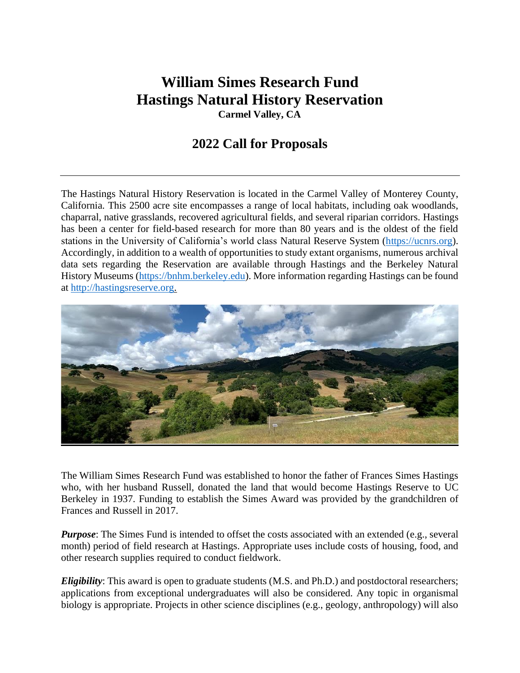# **William Simes Research Fund Hastings Natural History Reservation**

**Carmel Valley, CA**

## **2022 Call for Proposals**

The Hastings Natural History Reservation is located in the Carmel Valley of Monterey County, California. This 2500 acre site encompasses a range of local habitats, including oak woodlands, chaparral, native grasslands, recovered agricultural fields, and several riparian corridors. Hastings has been a center for field-based research for more than 80 years and is the oldest of the field stations in the University of California's world class Natural Reserve System [\(https://ucnrs.org\)](https://ucnrs.org/). Accordingly, in addition to a wealth of opportunities to study extant organisms, numerous archival data sets regarding the Reservation are available through Hastings and the Berkeley Natural History Museums [\(https://bnhm.berkeley.edu\)](https://bnhm.berkeley.edu/). More information regarding Hastings can be found at [http://hastingsreserve.org.](http://hastingsreserve.org/)



The William Simes Research Fund was established to honor the father of Frances Simes Hastings who, with her husband Russell, donated the land that would become Hastings Reserve to UC Berkeley in 1937. Funding to establish the Simes Award was provided by the grandchildren of Frances and Russell in 2017.

*Purpose*: The Simes Fund is intended to offset the costs associated with an extended (e.g., several month) period of field research at Hastings. Appropriate uses include costs of housing, food, and other research supplies required to conduct fieldwork.

*Eligibility*: This award is open to graduate students (M.S. and Ph.D.) and postdoctoral researchers; applications from exceptional undergraduates will also be considered. Any topic in organismal biology is appropriate. Projects in other science disciplines (e.g., geology, anthropology) will also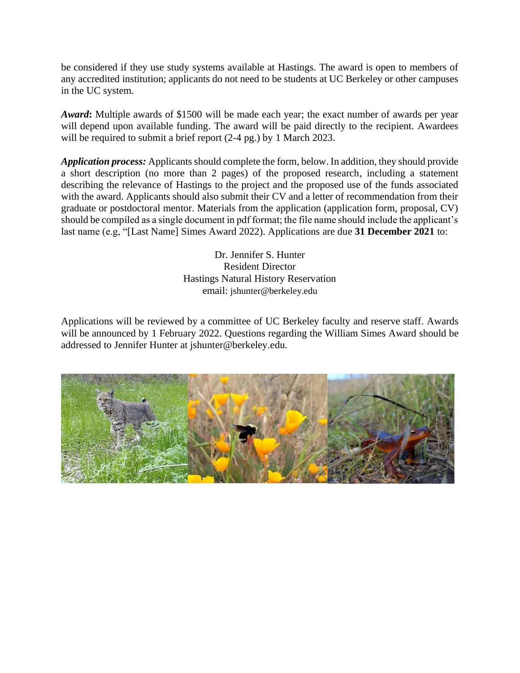be considered if they use study systems available at Hastings. The award is open to members of any accredited institution; applicants do not need to be students at UC Berkeley or other campuses in the UC system.

*Award***:** Multiple awards of \$1500 will be made each year; the exact number of awards per year will depend upon available funding. The award will be paid directly to the recipient. Awardees will be required to submit a brief report (2-4 pg.) by 1 March 2023.

*Application process:* Applicants should complete the form, below. In addition, they should provide a short description (no more than 2 pages) of the proposed research, including a statement describing the relevance of Hastings to the project and the proposed use of the funds associated with the award. Applicants should also submit their CV and a letter of recommendation from their graduate or postdoctoral mentor. Materials from the application (application form, proposal, CV) should be compiled as a single document in pdf format; the file name should include the applicant's last name (e.g, "[Last Name] Simes Award 2022). Applications are due **31 December 2021** to:

> Dr. Jennifer S. Hunter Resident Director Hastings Natural History Reservation email: jshunter@berkeley.edu

Applications will be reviewed by a committee of UC Berkeley faculty and reserve staff. Awards will be announced by 1 February 2022. Questions regarding the William Simes Award should be addressed to Jennifer Hunter at jshunter@berkeley.edu.